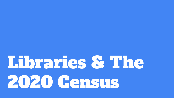# Libraries & The 2020 Gensus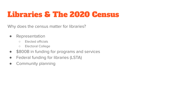# Libraries & The 2020 Census

Why does the census matter for libraries?

- Representation
	- Elected officials
	- Electoral College
- \$800B in funding for programs and services
- Federal funding for libraries (LSTA)
- Community planning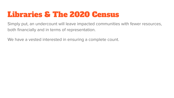#### Libraries & The 2020 Census

Simply put, an undercount will leave impacted communities with fewer resources, both financially and in terms of representation.

We have a vested interested in ensuring a complete count.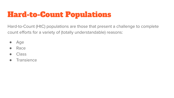Hard-to-Count (HtC) populations are those that present a challenge to complete count efforts for a variety of (totally understandable) reasons:

- Age
- Race
- **Class**
- Transience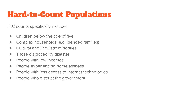HtC counts specifically include:

- Children below the age of five
- Complex households (e.g. blended families)
- Cultural and linguistic minorities
- Those displaced by disaster
- People with low incomes
- People experiencing homelessness
- People with less access to internet technologies
- People who distrust the government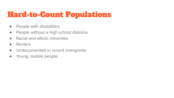- People with disabilities
- People without a high school diploma
- Racial and ethnic minorities
- Renters
- Undocumented or recent immigrants
- Young, mobile people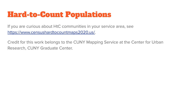If you are curious about HtC communities in your service area, see https://www.censushardtocountmaps2020.us/.

Credit for this work belongs to the CUNY Mapping Service at the Center for Urban Research, CUNY Graduate Center.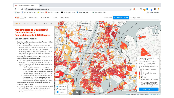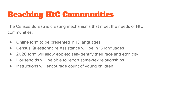The Census Bureau is creating mechanisms that meet the needs of HtC communities:

- Online form to be presented in 13 languages
- Census Questionnaire Assistance will be in 15 languages
- 2020 form will allow eopleto self-identify their race and ethnicity
- Households will be able to report same-sex relationships
- Instructions will encourage count of young children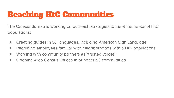The Census Bureau is working on outreach strategies to meet the needs of HtC populations:

- Creating guides in 59 languages, including American Sign Language
- Recruiting employees familiar with neighborhoods with a HtC populations
- Working with community partners as "trusted voices"
- Opening Area Census Offices in or near HtC communities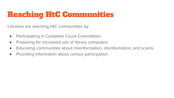Libraries are reaching HtC communities by:

- Participating in Complete Count Committees
- Preparing for increased use of library computers
- Educating communities about misinformation, disinformation, and scams
- Providing information about census participation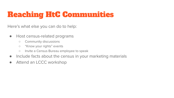Here's what else you can do to help:

- Host census-related programs
	- Community discussions
	- "Know your rights" events
	- Invite a Census Bureau employee to speak
- Include facts about the census in your marketing materials
- Attend an LCCC workshop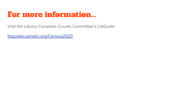#### For more information...

Visit the Library Complete Counts Committee's LibGuide:

libguides.senylrc.org/Census2020